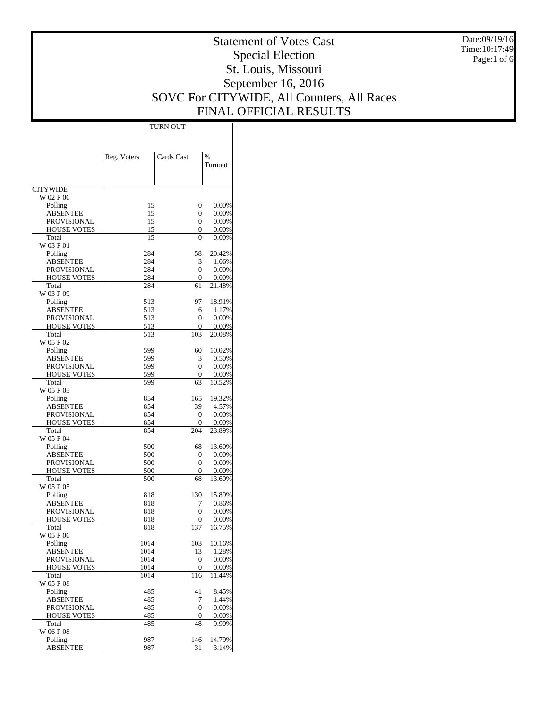Date:09/19/16 Time:10:17:49 Page:1 of 6

# Statement of Votes Cast Special Election St. Louis, Missouri September 16, 2016 SOVC For CITYWIDE, All Counters, All Races FINAL OFFICIAL RESULTS

Τ

|                                   |              | TURN OUT         |                   |
|-----------------------------------|--------------|------------------|-------------------|
|                                   |              |                  |                   |
|                                   |              |                  |                   |
|                                   | Reg. Voters  | Cards Cast       | $\%$              |
|                                   |              |                  | Turnout           |
|                                   |              |                  |                   |
| <b>CITYWIDE</b>                   |              |                  |                   |
| W 02 P 06                         |              |                  |                   |
| Polling                           | 15           | 0<br>0           | 0.00%<br>0.00%    |
| <b>ABSENTEE</b><br>PROVISIONAL    | 15<br>15     | 0                | 0.00%             |
| <b>HOUSE VOTES</b>                | 15           | 0                | 0.00%             |
| Total                             | 15           | $\Omega$         | 0.00%             |
| W 03 P 01                         |              |                  |                   |
| Polling                           | 284          | 58               | 20.42%            |
| <b>ABSENTEE</b>                   | 284          | 3                | 1.06%             |
| PROVISIONAL<br><b>HOUSE VOTES</b> | 284<br>284   | 0<br>0           | $0.00\%$<br>0.00% |
| Total                             | 284          | 61               | 21.48%            |
| W 03 P 09                         |              |                  |                   |
| Polling                           | 513          | 97               | 18.91%            |
| <b>ABSENTEE</b>                   | 513          | 6                | 1.17%             |
| PROVISIONAL                       | 513          | 0                | 0.00%             |
| <b>HOUSE VOTES</b><br>Total       | 513<br>513   | 0<br>103         | 0.00%<br>20.08%   |
| W 05 P 02                         |              |                  |                   |
| Polling                           | 599          | 60               | 10.02%            |
| ABSENTEE                          | 599          | 3                | 0.50%             |
| PROVISIONAL                       | 599          | 0                | $0.00\%$          |
| <b>HOUSE VOTES</b>                | 599          | 0                | 0.00%             |
| Total<br>W 05 P 03                | 599          | 63               | 10.52%            |
| Polling                           | 854          | 165              | 19.32%            |
| <b>ABSENTEE</b>                   | 854          | 39               | 4.57%             |
| PROVISIONAL                       | 854          | 0                | 0.00%             |
| <b>HOUSE VOTES</b>                | 854          | 0                | 0.00%             |
| Total<br>W 05 P 04                | 854          | 204              | 23.89%            |
| Polling                           | 500          | 68               | 13.60%            |
| ABSENTEE                          | 500          | 0                | 0.00%             |
| PROVISIONAL                       | 500          | 0                | 0.00%             |
| <b>HOUSE VOTES</b>                | 500          | 0                | 0.00%             |
| Total                             | 500          | 68               | 13.60%            |
| W 05 P 05<br>Polling              | 818          | 130              | 15.89%            |
| ABSENTEE                          | 818          | 7                | 0.86%             |
| PROVISIONAL                       | 818          | 0                | 0.00%             |
| <b>HOUSE VOTES</b>                | 818          | $\boldsymbol{0}$ | $0.00\%$          |
| Total                             | 818          | 137              | 16.75%            |
| W 05 P 06                         |              |                  |                   |
| Polling<br><b>ABSENTEE</b>        | 1014<br>1014 | 103<br>13        | 10.16%<br>1.28%   |
| PROVISIONAL                       | 1014         | 0                | 0.00%             |
| <b>HOUSE VOTES</b>                | 1014         | 0                | 0.00%             |
| Total                             | 1014         | 116              | 11.44%            |
| W 05 P 08                         |              |                  |                   |
| Polling                           | 485          | 41<br>7          | 8.45%<br>1.44%    |
| <b>ABSENTEE</b><br>PROVISIONAL    | 485<br>485   | $\overline{0}$   | 0.00%             |
| <b>HOUSE VOTES</b>                | 485          | 0                | 0.00%             |
| Total                             | 485          | 48               | 9.90%             |
| W 06 P 08                         |              |                  |                   |
| Polling                           | 987          | 146              | 14.79%            |
| ABSENTEE                          | 987          | 31               | 3.14%             |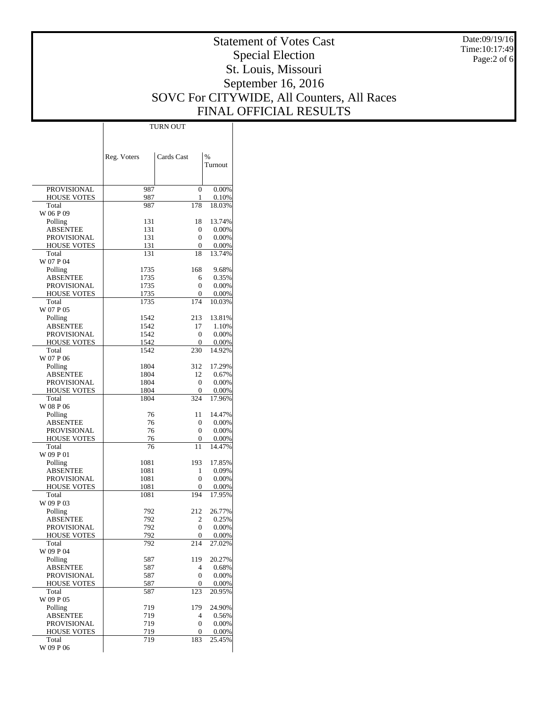Date:09/19/16 Time:10:17:49 Page:2 of 6

# Statement of Votes Cast Special Election St. Louis, Missouri September 16, 2016 SOVC For CITYWIDE, All Counters, All Races FINAL OFFICIAL RESULTS

 $\top$ 

|                      | Reg. Voters | Cards Cast       | $\%$     |
|----------------------|-------------|------------------|----------|
|                      |             |                  | Turnout  |
|                      |             |                  |          |
| PROVISIONAL          | 987         | $\overline{0}$   | 0.00%    |
| <b>HOUSE VOTES</b>   | 987         | 1                | 0.10%    |
| Total                | 987         | 178              | 18.03%   |
| W 06 P 09<br>Polling | 131         | 18               | 13.74%   |
| <b>ABSENTEE</b>      | 131         | 0                | 0.00%    |
| PROVISIONAL          | 131         | 0                | 0.00%    |
| <b>HOUSE VOTES</b>   | 131         | 0                | 0.00%    |
| Total<br>W 07 P 04   | 131         | 18               | 13.74%   |
| Polling              | 1735        | 168              | 9.68%    |
| <b>ABSENTEE</b>      | 1735        | 6                | 0.35%    |
| PROVISIONAL          | 1735        | 0                | 0.00%    |
| <b>HOUSE VOTES</b>   | 1735        | 0                | 0.00%    |
| Total<br>W 07 P 05   | 1735        | 174              | 10.03%   |
| Polling              | 1542        | 213              | 13.81%   |
| <b>ABSENTEE</b>      | 1542        | 17               | 1.10%    |
| PROVISIONAL          | 1542        | 0                | 0.00%    |
| <b>HOUSE VOTES</b>   | 1542        | 0                | 0.00%    |
| Total                | 1542        | 230              | 14.92%   |
| W 07 P 06<br>Polling | 1804        | 312              | 17.29%   |
| <b>ABSENTEE</b>      | 1804        | 12               | 0.67%    |
| PROVISIONAL          | 1804        | 0                | 0.00%    |
| <b>HOUSE VOTES</b>   | 1804        | 0                | 0.00%    |
| Total                | 1804        | 324              | 17.96%   |
| W 08 P 06<br>Polling | 76          | 11               | 14.47%   |
| ABSENTEE             | 76          | 0                | 0.00%    |
| PROVISIONAL          | 76          | 0                | 0.00%    |
| <b>HOUSE VOTES</b>   | 76          | 0                | 0.00%    |
| Total                | 76          | 11               | 14.47%   |
| W 09 P 01<br>Polling | 1081        | 193              | 17.85%   |
| <b>ABSENTEE</b>      | 1081        | 1                | 0.09%    |
| PROVISIONAL          | 1081        | $\boldsymbol{0}$ | 0.00%    |
| HOUSE VOTES          | 1081        | 0                | 0.00%    |
| Total                | 1081        | 194              | 17.95%   |
| W 09 P 03<br>Polling | 792         | 212              | 26.77%   |
| <b>ABSENTEE</b>      | 792         | 2                | 0.25%    |
| PROVISIONAL          | 792         | $\overline{0}$   | 0.00%    |
| <b>HOUSE VOTES</b>   | 792         | $\mathbf 0$      | $0.00\%$ |
| Total                | 792         | 214              | 27.02%   |
| W 09 P 04<br>Polling | 587         | 119              | 20.27%   |
| <b>ABSENTEE</b>      | 587         | 4                | 0.68%    |
| <b>PROVISIONAL</b>   | 587         | $\boldsymbol{0}$ | $0.00\%$ |
| <b>HOUSE VOTES</b>   | 587         | 0                | 0.00%    |
| Total<br>W 09 P 05   | 587         | 123              | 20.95%   |
| Polling              | 719         | 179              | 24.90%   |
| <b>ABSENTEE</b>      | 719         | 4                | 0.56%    |
| PROVISIONAL          | 719         | $\boldsymbol{0}$ | 0.00%    |
| <b>HOUSE VOTES</b>   | 719         | 0                | 0.00%    |
| Total<br>W 09 P 06   | 719         | 183              | 25.45%   |

TURN OUT

 $\overline{1}$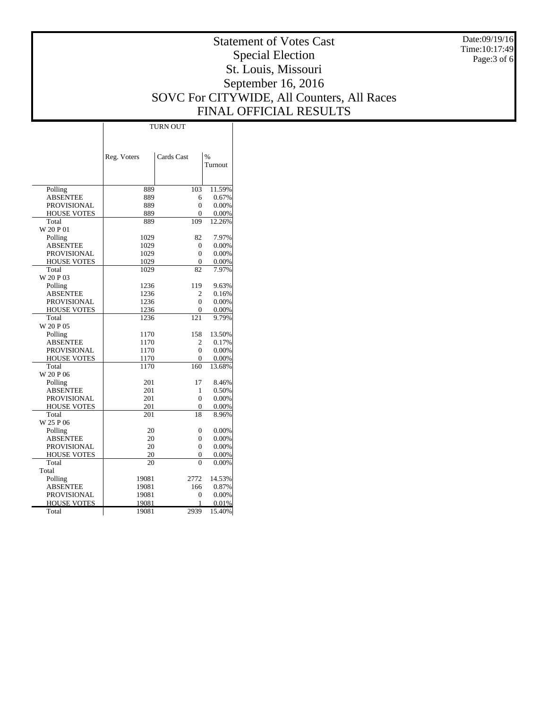Date:09/19/16 Time:10:17:49 Page:3 of 6

# Statement of Votes Cast Special Election St. Louis, Missouri September 16, 2016 SOVC For CITYWIDE, All Counters, All Races FINAL OFFICIAL RESULTS

Τ

|                    | <b>TURN OUT</b> |                |         |  |  |  |
|--------------------|-----------------|----------------|---------|--|--|--|
|                    |                 |                |         |  |  |  |
|                    |                 |                |         |  |  |  |
|                    | Reg. Voters     | Cards Cast     | $\%$    |  |  |  |
|                    |                 |                | Turnout |  |  |  |
|                    |                 |                |         |  |  |  |
| Polling            | 889             | 103            | 11.59%  |  |  |  |
| <b>ABSENTEE</b>    | 889             | 6              | 0.67%   |  |  |  |
| <b>PROVISIONAL</b> | 889             | 0              | 0.00%   |  |  |  |
| <b>HOUSE VOTES</b> | 889             | $\overline{0}$ | 0.00%   |  |  |  |
| Total              | 889             | 109            | 12.26%  |  |  |  |
| W 20 P 01          |                 |                |         |  |  |  |
| Polling            | 1029            | 82             | 7.97%   |  |  |  |
| <b>ABSENTEE</b>    | 1029            | 0              | 0.00%   |  |  |  |
| <b>PROVISIONAL</b> | 1029            | $\Omega$       | 0.00%   |  |  |  |
| <b>HOUSE VOTES</b> | 1029            | $\overline{0}$ | 0.00%   |  |  |  |
| Total              | 1029            | 82             | 7.97%   |  |  |  |
| W 20 P 03          |                 |                |         |  |  |  |
| Polling            | 1236            | 119            | 9.63%   |  |  |  |
| <b>ABSENTEE</b>    | 1236            | 2              | 0.16%   |  |  |  |
| PROVISIONAL        | 1236            | $\theta$       | 0.00%   |  |  |  |
| <b>HOUSE VOTES</b> | 1236            | $\theta$       | 0.00%   |  |  |  |
| Total              | 1236            | 121            | 9.79%   |  |  |  |
| W 20 P 05          |                 |                |         |  |  |  |
| Polling            | 1170            | 158            | 13.50%  |  |  |  |
| <b>ABSENTEE</b>    | 1170            | $\mathfrak{D}$ | 0.17%   |  |  |  |
| <b>PROVISIONAL</b> | 1170            | $\theta$       | 0.00%   |  |  |  |
| <b>HOUSE VOTES</b> | 1170            | $\theta$       | 0.00%   |  |  |  |
| Total              | 1170            | 160            | 13.68%  |  |  |  |
| W 20 P 06          |                 |                |         |  |  |  |
| Polling            | 201             | 17             | 8.46%   |  |  |  |
| <b>ABSENTEE</b>    | 201             | 1              | 0.50%   |  |  |  |
| <b>PROVISIONAL</b> | 201             | $\theta$       | 0.00%   |  |  |  |
| <b>HOUSE VOTES</b> | 201             | $\overline{0}$ | 0.00%   |  |  |  |
| Total              | 201             | 18             | 8.96%   |  |  |  |
| W 25 P 06          |                 |                |         |  |  |  |
| Polling            | 20              | $\overline{0}$ | 0.00%   |  |  |  |
| <b>ABSENTEE</b>    | 20              | $\theta$       | 0.00%   |  |  |  |
| <b>PROVISIONAL</b> | 20              | $\overline{0}$ | 0.00%   |  |  |  |
| <b>HOUSE VOTES</b> | 20              | 0              | 0.00%   |  |  |  |
| Total              | 20              | $\theta$       | 0.00%   |  |  |  |
| Total              |                 |                |         |  |  |  |
| Polling            | 19081           | 2772           | 14.53%  |  |  |  |
| <b>ABSENTEE</b>    | 19081           | 166            | 0.87%   |  |  |  |
| <b>PROVISIONAL</b> | 19081           | $\overline{0}$ | 0.00%   |  |  |  |
| <b>HOUSE VOTES</b> | 19081           | 1              | 0.01%   |  |  |  |
| Total              | 19081           | 2939           | 15.40%  |  |  |  |
|                    |                 |                |         |  |  |  |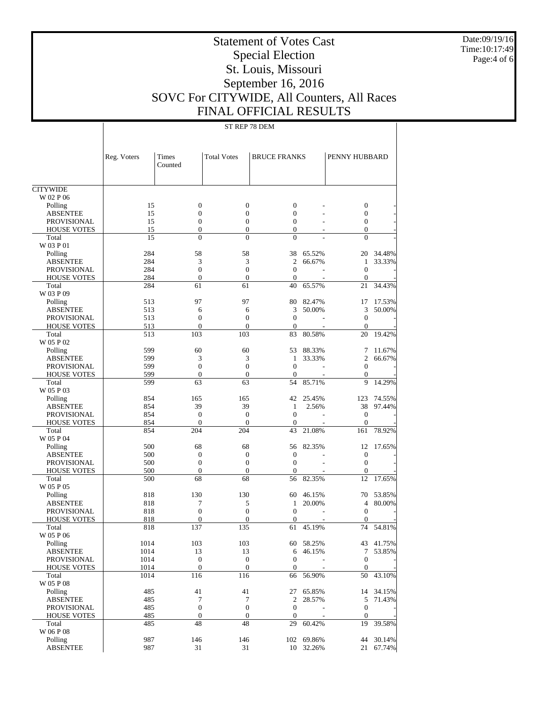Date:09/19/16 Time:10:17:49 Page:4 of 6

# Statement of Votes Cast Special Election St. Louis, Missouri September 16, 2016 SOVC For CITYWIDE, All Counters, All Races FINAL OFFICIAL RESULTS

ST REP 78 DEM

|                                       | Reg. Voters | Times<br>Counted      | <b>Total Votes</b>   | <b>BRUCE FRANKS</b> |            | PENNY HUBBARD          |           |
|---------------------------------------|-------------|-----------------------|----------------------|---------------------|------------|------------------------|-----------|
| <b>CITYWIDE</b>                       |             |                       |                      |                     |            |                        |           |
| W 02 P 06                             |             |                       |                      |                     |            |                        |           |
| Polling                               | 15          | $\boldsymbol{0}$      | $\boldsymbol{0}$     | $\boldsymbol{0}$    |            | $\boldsymbol{0}$       |           |
| <b>ABSENTEE</b>                       | 15          | $\mathbf{0}$          | $\overline{0}$       | $\mathbf{0}$        |            | $\boldsymbol{0}$       |           |
| <b>PROVISIONAL</b>                    | 15          | $\boldsymbol{0}$      | $\boldsymbol{0}$     | $\mathbf{0}$        |            | $\boldsymbol{0}$       |           |
| <b>HOUSE VOTES</b>                    | 15          | $\mathbf{0}$          | $\overline{0}$       | $\mathbf{0}$        |            | $\mathbf{0}$           |           |
| Total                                 | 15          | $\theta$              | $\theta$             | $\overline{0}$      |            | $\theta$               |           |
| W 03 P 01                             |             |                       |                      |                     |            |                        |           |
| Polling                               | 284         | 58                    | 58                   | 38                  | 65.52%     | 20                     | 34.48%    |
| <b>ABSENTEE</b>                       | 284         | 3                     | 3                    | $\overline{2}$      | 66.67%     | 1                      | 33.33%    |
| <b>PROVISIONAL</b>                    | 284         | $\mathbf{0}$          | $\overline{0}$       | $\mathbf{0}$        |            | $\mathbf{0}$           |           |
| <b>HOUSE VOTES</b>                    | 284         | $\mathbf{0}$          | $\overline{0}$       | $\mathbf{0}$        |            | $\boldsymbol{0}$       |           |
| Total                                 | 284         | 61                    | 61                   | 40                  | 65.57%     | 21                     | 34.43%    |
| W 03 P 09                             |             |                       |                      |                     |            |                        |           |
| Polling                               | 513         | 97                    | 97                   | 80<br>3             | 82.47%     | 17<br>3                | 17.53%    |
| <b>ABSENTEE</b><br><b>PROVISIONAL</b> | 513<br>513  | 6<br>$\boldsymbol{0}$ | 6<br>$\overline{0}$  | $\mathbf{0}$        | 50.00%     | $\boldsymbol{0}$       | 50.00%    |
| <b>HOUSE VOTES</b>                    | 513         | $\mathbf{0}$          | $\overline{0}$       | $\mathbf{0}$        |            | $\boldsymbol{0}$       |           |
| Total                                 | 513         | 103                   | 103                  | 83                  | 80.58%     | 20                     | 19.42%    |
| W 05 P 02                             |             |                       |                      |                     |            |                        |           |
| Polling                               | 599         | 60                    | 60                   | 53                  | 88.33%     | 7                      | 11.67%    |
| <b>ABSENTEE</b>                       | 599         | 3                     | 3                    | 1                   | 33.33%     | $\overline{2}$         | 66.67%    |
| <b>PROVISIONAL</b>                    | 599         | $\mathbf{0}$          | $\overline{0}$       | $\mathbf{0}$        |            | $\boldsymbol{0}$       |           |
| <b>HOUSE VOTES</b>                    | 599         | $\mathbf{0}$          | $\overline{0}$       | $\theta$            |            | $\boldsymbol{0}$       |           |
| Total                                 | 599         | 63                    | 63                   | 54                  | 85.71%     | 9                      | 14.29%    |
| W 05 P 03                             |             |                       |                      |                     |            |                        |           |
| Polling                               | 854         | 165                   | 165                  | 42                  | 25.45%     | 123                    | 74.55%    |
| <b>ABSENTEE</b>                       | 854         | 39                    | 39                   | 1                   | 2.56%      | 38                     | 97.44%    |
| <b>PROVISIONAL</b>                    | 854         | $\mathbf{0}$          | $\boldsymbol{0}$     | $\mathbf{0}$        |            | $\boldsymbol{0}$       |           |
| <b>HOUSE VOTES</b>                    | 854         | $\boldsymbol{0}$      | $\overline{0}$       | $\mathbf{0}$        |            | $\boldsymbol{0}$       |           |
| Total                                 | 854         | 204                   | 204                  | 43                  | 21.08%     | 161                    | 78.92%    |
| W 05 P 04                             |             |                       |                      |                     |            |                        |           |
| Polling                               | 500         | 68                    | 68                   | 56                  | 82.35%     | 12                     | 17.65%    |
| <b>ABSENTEE</b>                       | 500         | $\mathbf{0}$          | $\boldsymbol{0}$     | $\boldsymbol{0}$    |            | $\boldsymbol{0}$       |           |
| <b>PROVISIONAL</b>                    | 500         | $\mathbf{0}$          | $\overline{0}$       | $\mathbf{0}$        |            | $\mathbf{0}$           |           |
| <b>HOUSE VOTES</b>                    | 500         | $\mathbf{0}$<br>68    | $\overline{0}$<br>68 | $\theta$            |            | $\boldsymbol{0}$<br>12 |           |
| Total<br>W 05 P 05                    | 500         |                       |                      | 56                  | 82.35%     |                        | 17.65%    |
|                                       | 818         | 130                   | 130                  | 60                  | 46.15%     | 70                     | 53.85%    |
| Polling<br><b>ABSENTEE</b>            | 818         | 7                     | 5                    | 1                   | 20.00%     | 4                      | 80.00%    |
| <b>PROVISIONAL</b>                    | 818         | $\mathbf{0}$          | $\overline{0}$       | $\mathbf{0}$        |            | $\mathbf{0}$           |           |
| <b>HOUSE VOTES</b>                    | 818         | $\mathbf{0}$          | $\overline{0}$       | $\theta$            |            | $\mathbf{0}$           |           |
| Total                                 | 818         | 137                   | 135                  | 61                  | 45.19%     | 74                     | 54.81%    |
| W 05 P 06                             |             |                       |                      |                     |            |                        |           |
| Polling                               | 1014        | 103                   | 103                  | 60                  | 58.25%     |                        | 43 41.75% |
| ABSENTEE                              | 1014        | 13                    | 13                   | 6                   | 46.15%     | $7\overline{ }$        | 53.85%    |
| PROVISIONAL                           | 1014        | $\mathbf{0}$          | $\boldsymbol{0}$     | $\boldsymbol{0}$    |            | $\boldsymbol{0}$       |           |
| <b>HOUSE VOTES</b>                    | 1014        | $\mathbf{0}$          | $\overline{0}$       | $\boldsymbol{0}$    |            | $\mathbf{0}$           |           |
| Total                                 | 1014        | 116                   | 116                  | 66                  | 56.90%     | 50                     | 43.10%    |
| W 05 P 08                             |             |                       |                      |                     |            |                        |           |
| Polling                               | 485         | 41                    | 41                   |                     | 27 65.85%  | 14                     | 34.15%    |
| <b>ABSENTEE</b>                       | 485         | 7                     | 7                    | 2                   | 28.57%     | 5                      | 71.43%    |
| PROVISIONAL                           | 485         | $\boldsymbol{0}$      | $\boldsymbol{0}$     | $\boldsymbol{0}$    |            | $\boldsymbol{0}$       |           |
| <b>HOUSE VOTES</b>                    | 485         | $\boldsymbol{0}$      | $\boldsymbol{0}$     | $\boldsymbol{0}$    |            | $\boldsymbol{0}$       |           |
| Total                                 | 485         | 48                    | 48                   | 29                  | 60.42%     | 19                     | 39.58%    |
| W 06 P 08                             |             |                       |                      |                     |            |                        |           |
| Polling                               | 987         | 146                   | 146                  |                     | 102 69.86% | 44                     | 30.14%    |
| <b>ABSENTEE</b>                       | 987         | 31                    | 31                   |                     | 10 32.26%  |                        | 21 67.74% |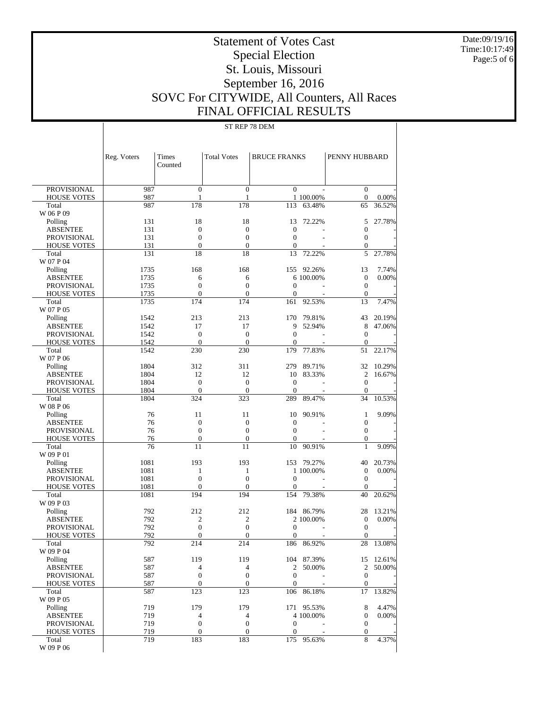Date:09/19/16 Time:10:17:49 Page:5 of 6

# Statement of Votes Cast Special Election St. Louis, Missouri September 16, 2016 SOVC For CITYWIDE, All Counters, All Races FINAL OFFICIAL RESULTS

## ST REP 78 DEM

|                                       | Reg. Voters  | Times<br>Counted             | <b>Total Votes</b>                   | <b>BRUCE FRANKS</b>          |            | PENNY HUBBARD                        |        |
|---------------------------------------|--------------|------------------------------|--------------------------------------|------------------------------|------------|--------------------------------------|--------|
| <b>PROVISIONAL</b>                    | 987          | $\mathbf{0}$                 | $\mathbf{0}$                         | $\mathbf{0}$                 |            | $\mathbf{0}$                         |        |
| <b>HOUSE VOTES</b>                    | 987          | 1                            | 1                                    |                              | 1 100.00%  | $\mathbf{0}$                         | 0.00%  |
| Total                                 | 987          | 178                          | 178                                  | 113                          | 63.48%     | 65                                   | 36.52% |
| W 06 P 09                             |              |                              |                                      |                              |            |                                      |        |
| Polling                               | 131          | 18                           | 18                                   | 13                           | 72.22%     | 5                                    | 27.78% |
| <b>ABSENTEE</b>                       | 131          | $\mathbf{0}$                 | $\boldsymbol{0}$                     | $\mathbf{0}$                 |            | $\boldsymbol{0}$                     |        |
| <b>PROVISIONAL</b>                    | 131          | $\mathbf{0}$                 | $\boldsymbol{0}$                     | $\mathbf{0}$                 |            | $\boldsymbol{0}$                     |        |
| <b>HOUSE VOTES</b>                    | 131          | $\mathbf{0}$                 | $\overline{0}$                       | $\mathbf{0}$                 |            | $\mathbf{0}$                         |        |
| Total                                 | 131          | 18                           | 18                                   | 13                           | 72.22%     | 5                                    | 27.78% |
| W 07 P 04                             |              |                              |                                      |                              |            |                                      |        |
| Polling                               | 1735         | 168                          | 168                                  | 155                          | 92.26%     | 13                                   | 7.74%  |
| <b>ABSENTEE</b>                       | 1735         | 6                            | 6                                    |                              | 6 100.00%  | $\mathbf{0}$                         | 0.00%  |
| <b>PROVISIONAL</b>                    | 1735         | $\mathbf{0}$<br>$\mathbf{0}$ | $\theta$<br>$\theta$                 | $\mathbf{0}$<br>$\mathbf{0}$ |            | $\mathbf{0}$                         |        |
| <b>HOUSE VOTES</b><br>Total           | 1735<br>1735 | 174                          | 174                                  | 161                          | 92.53%     | $\boldsymbol{0}$<br>13               | 7.47%  |
| W 07 P 05                             |              |                              |                                      |                              |            |                                      |        |
| Polling                               | 1542         | 213                          | 213                                  | 170                          | 79.81%     | 43                                   | 20.19% |
| <b>ABSENTEE</b>                       | 1542         | 17                           | 17                                   | 9                            | 52.94%     | 8                                    | 47.06% |
| <b>PROVISIONAL</b>                    | 1542         | $\theta$                     | $\boldsymbol{0}$                     | $\mathbf{0}$                 |            | $\mathbf{0}$                         |        |
| <b>HOUSE VOTES</b>                    | 1542         | $\theta$                     | $\theta$                             | $\mathbf{0}$                 |            | $\boldsymbol{0}$                     |        |
| Total                                 | 1542         | 230                          | 230                                  | 179                          | 77.83%     | 51                                   | 22.17% |
| W 07 P 06                             |              |                              |                                      |                              |            |                                      |        |
| Polling                               | 1804         | 312                          | 311                                  | 279                          | 89.71%     | 32                                   | 10.29% |
| <b>ABSENTEE</b>                       | 1804         | 12                           | 12                                   | 10                           | 83.33%     | 2                                    | 16.67% |
| <b>PROVISIONAL</b>                    | 1804         | $\mathbf{0}$                 | $\boldsymbol{0}$                     | $\mathbf{0}$                 |            | $\mathbf{0}$                         |        |
| <b>HOUSE VOTES</b>                    | 1804         | $\mathbf{0}$                 | $\boldsymbol{0}$                     | $\mathbf{0}$                 |            | $\mathbf{0}$                         |        |
| Total                                 | 1804         | 324                          | 323                                  | 289                          | 89.47%     | 34                                   | 10.53% |
| W 08 P 06                             |              |                              |                                      |                              |            |                                      |        |
| Polling                               | 76<br>76     | 11<br>$\mathbf{0}$           | 11                                   | 10                           | 90.91%     | $\mathbf{1}$                         | 9.09%  |
| <b>ABSENTEE</b><br><b>PROVISIONAL</b> | 76           | $\mathbf{0}$                 | $\boldsymbol{0}$<br>$\boldsymbol{0}$ | $\mathbf{0}$<br>$\mathbf{0}$ |            | $\boldsymbol{0}$<br>$\boldsymbol{0}$ |        |
| <b>HOUSE VOTES</b>                    | 76           | $\boldsymbol{0}$             | $\boldsymbol{0}$                     | $\mathbf{0}$                 |            | $\boldsymbol{0}$                     |        |
| Total                                 | 76           | 11                           | 11                                   | 10                           | 90.91%     | 1                                    | 9.09%  |
| W 09 P 01                             |              |                              |                                      |                              |            |                                      |        |
| Polling                               | 1081         | 193                          | 193                                  | 153                          | 79.27%     | 40                                   | 20.73% |
| <b>ABSENTEE</b>                       | 1081         | 1                            | 1                                    |                              | 1 100.00%  | $\mathbf{0}$                         | 0.00%  |
| <b>PROVISIONAL</b>                    | 1081         | $\mathbf{0}$                 | $\boldsymbol{0}$                     | $\mathbf{0}$                 |            | $\mathbf{0}$                         |        |
| <b>HOUSE VOTES</b>                    | 1081         | $\mathbf{0}$                 | $\theta$                             | $\mathbf{0}$                 |            | $\mathbf{0}$                         |        |
| Total                                 | 1081         | 194                          | 194                                  | 154                          | 79.38%     | 40                                   | 20.62% |
| W 09 P 03                             |              |                              |                                      |                              |            |                                      |        |
| Polling                               | 792          | 212                          | 212                                  | 184                          | 86.79%     | 28                                   | 13.21% |
| <b>ABSENTEE</b>                       | 792          | $\overline{c}$               | $\overline{c}$                       |                              | 2 100.00%  | $\mathbf{0}$                         | 0.00%  |
| <b>PROVISIONAL</b>                    | 792          | $\mathbf{0}$                 | $\theta$                             | $\mathbf{0}$                 |            | $\mathbf{0}$                         |        |
| <b>HOUSE VOTES</b><br>Total           | 792<br>792   | 0<br>214                     | $\boldsymbol{0}$<br>214              | $\mathbf{0}$<br>186          | 86.92%     | $\boldsymbol{0}$<br>28               | 13.08% |
| W 09 P 04                             |              |                              |                                      |                              |            |                                      |        |
| Polling                               | 587          | 119                          | 119                                  |                              | 104 87.39% | 15                                   | 12.61% |
| <b>ABSENTEE</b>                       | 587          | 4                            | $\overline{4}$                       | $\overline{2}$               | 50.00%     | $\overline{2}$                       | 50.00% |
| <b>PROVISIONAL</b>                    | 587          | $\boldsymbol{0}$             | $\boldsymbol{0}$                     | $\mathbf{0}$                 |            | $\mathbf{0}$                         |        |
| <b>HOUSE VOTES</b>                    | 587          | $\theta$                     | $\boldsymbol{0}$                     | $\mathbf{0}$                 |            | $\boldsymbol{0}$                     |        |
| Total                                 | 587          | 123                          | 123                                  | 106                          | 86.18%     | 17                                   | 13.82% |
| W 09 P 05                             |              |                              |                                      |                              |            |                                      |        |
| Polling                               | 719          | 179                          | 179                                  |                              | 171 95.53% | 8                                    | 4.47%  |
| <b>ABSENTEE</b>                       | 719          | 4                            | 4                                    |                              | 4 100.00%  | $\boldsymbol{0}$                     | 0.00%  |
| <b>PROVISIONAL</b>                    | 719          | $\boldsymbol{0}$             | $\boldsymbol{0}$                     | $\mathbf{0}$                 |            | $\boldsymbol{0}$                     |        |
| <b>HOUSE VOTES</b>                    | 719          | $\boldsymbol{0}$             | $\boldsymbol{0}$                     | $\boldsymbol{0}$             |            | $\boldsymbol{0}$                     |        |
| Total                                 | 719          | 183                          | 183                                  | 175                          | 95.63%     | 8                                    | 4.37%  |
| W 09 P 06                             |              |                              |                                      |                              |            |                                      |        |